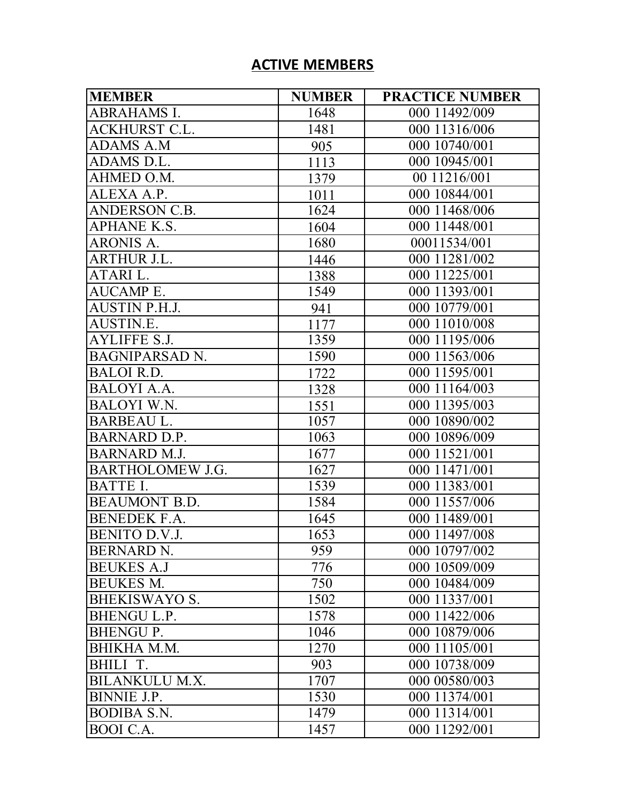## **ACTIVE MEMBERS**

| <b>MEMBER</b>           | <b>NUMBER</b> | <b>PRACTICE NUMBER</b> |
|-------------------------|---------------|------------------------|
| <b>ABRAHAMS I.</b>      | 1648          | 000 11492/009          |
| <b>ACKHURST C.L.</b>    | 1481          | 000 11316/006          |
| <b>ADAMS A.M</b>        | 905           | 000 10740/001          |
| ADAMS D.L.              | 1113          | 000 10945/001          |
| AHMED O.M.              | 1379          | 00 11216/001           |
| ALEXA A.P.              | 1011          | 000 10844/001          |
| <b>ANDERSON C.B.</b>    | 1624          | 000 11468/006          |
| <b>APHANE K.S.</b>      | 1604          | 000 11448/001          |
| ARONIS A.               | 1680          | 00011534/001           |
| ARTHUR J.L.             | 1446          | 000 11281/002          |
| ATARI L.                | 1388          | 000 11225/001          |
| <b>AUCAMP E.</b>        | 1549          | 000 11393/001          |
| AUSTIN P.H.J.           | 941           | 000 10779/001          |
| AUSTIN.E.               | 1177          | 000 11010/008          |
| <b>AYLIFFE S.J.</b>     | 1359          | 000 11195/006          |
| <b>BAGNIPARSAD N.</b>   | 1590          | 000 11563/006          |
| <b>BALOI R.D.</b>       | 1722          | 000 11595/001          |
| <b>BALOYI A.A.</b>      | 1328          | 000 11164/003          |
| <b>BALOYI W.N.</b>      | 1551          | 000 11395/003          |
| <b>BARBEAU L.</b>       | 1057          | 000 10890/002          |
| <b>BARNARD D.P.</b>     | 1063          | 000 10896/009          |
| <b>BARNARD M.J.</b>     | 1677          | 000 11521/001          |
| <b>BARTHOLOMEW J.G.</b> | 1627          | 000 11471/001          |
| BATTE I.                | 1539          | 000 11383/001          |
| <b>BEAUMONT B.D.</b>    | 1584          | 000 11557/006          |
| <b>BENEDEK F.A.</b>     | 1645          | 000 11489/001          |
| <b>BENITO D.V.J.</b>    | 1653          | 000 11497/008          |
| <b>BERNARD N.</b>       | 959           | 000 10797/002          |
| <b>BEUKES A.J</b>       | 776           | 000 10509/009          |
| <b>BEUKES M.</b>        | 750           | 000 10484/009          |
| <b>BHEKISWAYO S.</b>    | 1502          | 000 11337/001          |
| <b>BHENGU L.P.</b>      | 1578          | 000 11422/006          |
| <b>BHENGUP.</b>         | 1046          | 000 10879/006          |
| BHIKHA M.M.             | 1270          | 000 11105/001          |
| BHILI T.                | 903           | 000 10738/009          |
| <b>BILANKULU M.X.</b>   | 1707          | 000 00580/003          |
| <b>BINNIE J.P.</b>      | 1530          | 000 11374/001          |
| <b>BODIBA S.N.</b>      | 1479          | 000 11314/001          |
| BOOI C.A.               | 1457          | 000 11292/001          |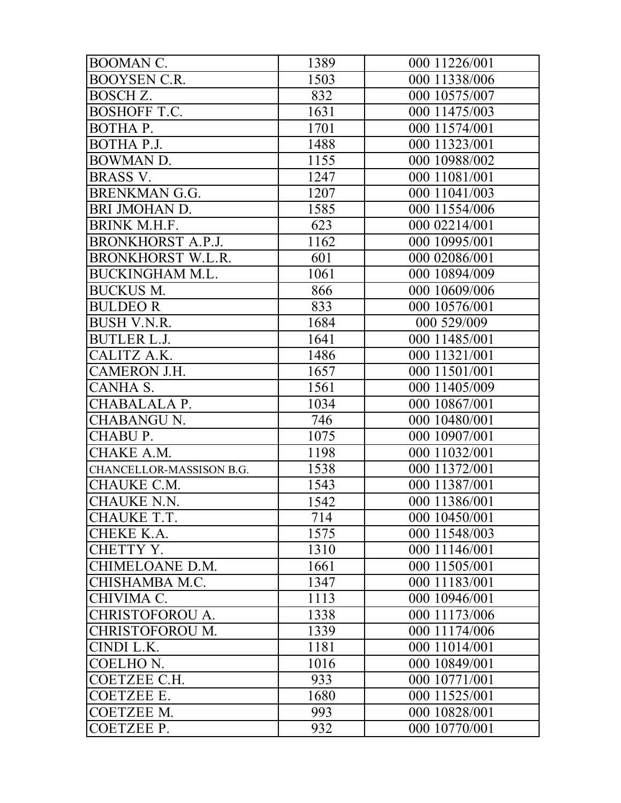| <b>BOOMAN C.</b>         | 1389 | 000 11226/001 |
|--------------------------|------|---------------|
| <b>BOOYSEN C.R.</b>      | 1503 | 000 11338/006 |
| BOSCH Z.                 | 832  | 000 10575/007 |
| <b>BOSHOFF T.C.</b>      | 1631 | 000 11475/003 |
| BOTHA P.                 | 1701 | 000 11574/001 |
| BOTHA P.J.               | 1488 | 000 11323/001 |
| BOWMAN D.                | 1155 | 000 10988/002 |
| <b>BRASS V.</b>          | 1247 | 000 11081/001 |
| <b>BRENKMAN G.G.</b>     | 1207 | 000 11041/003 |
| BRI JMOHAN D.            | 1585 | 000 11554/006 |
| <b>BRINK M.H.F.</b>      | 623  | 000 02214/001 |
| <b>BRONKHORST A.P.J.</b> | 1162 | 000 10995/001 |
| <b>BRONKHORST W.L.R.</b> | 601  | 000 02086/001 |
| <b>BUCKINGHAM M.L.</b>   | 1061 | 000 10894/009 |
| <b>BUCKUS M.</b>         | 866  | 000 10609/006 |
| <b>BULDEOR</b>           | 833  | 000 10576/001 |
| <b>BUSH V.N.R.</b>       | 1684 | 000 529/009   |
| <b>BUTLER L.J.</b>       | 1641 | 000 11485/001 |
| CALITZ A.K.              | 1486 | 000 11321/001 |
| CAMERON J.H.             | 1657 | 000 11501/001 |
| CANHA S.                 | 1561 | 000 11405/009 |
| CHABALALA P.             | 1034 | 000 10867/001 |
| <b>CHABANGU N.</b>       | 746  | 000 10480/001 |
| CHABU P.                 | 1075 | 000 10907/001 |
| CHAKE A.M.               | 1198 | 000 11032/001 |
| CHANCELLOR-MASSISON B.G. | 1538 | 000 11372/001 |
| CHAUKE C.M.              | 1543 | 000 11387/001 |
| <b>CHAUKE N.N.</b>       | 1542 | 000 11386/001 |
| CHAUKE T.T.              | 714  | 000 10450/001 |
| <b>CHEKE K.A.</b>        | 1575 | 000 11548/003 |
| CHETTY Y.                | 1310 | 000 11146/001 |
| CHIMELOANE D.M.          | 1661 | 000 11505/001 |
| CHISHAMBA M.C.           | 1347 | 000 11183/001 |
| CHIVIMA C.               | 1113 | 000 10946/001 |
| <b>CHRISTOFOROU A.</b>   | 1338 | 000 11173/006 |
| <b>CHRISTOFOROU M.</b>   | 1339 | 000 11174/006 |
| CINDI L.K.               | 1181 | 000 11014/001 |
| COELHO <sub>N.</sub>     | 1016 | 000 10849/001 |
| COETZEE C.H.             | 933  | 000 10771/001 |
| <b>COETZEE E.</b>        | 1680 | 000 11525/001 |
| <b>COETZEE M.</b>        | 993  | 000 10828/001 |
| COETZEE P.               | 932  | 000 10770/001 |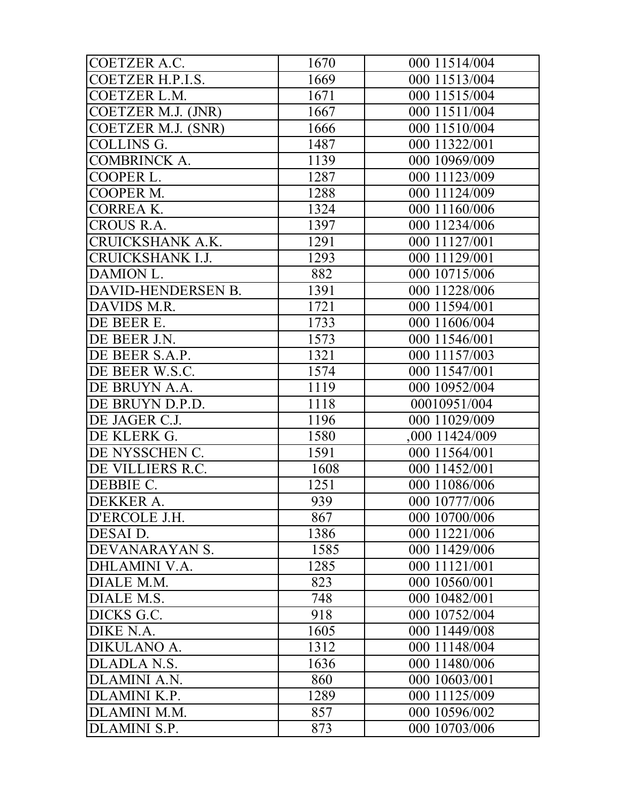| COETZER A.C.            | 1670 | 000 11514/004  |
|-------------------------|------|----------------|
| COETZER H.P.I.S.        | 1669 | 000 11513/004  |
| <b>COETZER L.M.</b>     | 1671 | 000 11515/004  |
| COETZER M.J. (JNR)      | 1667 | 000 11511/004  |
| COETZER M.J. (SNR)      | 1666 | 000 11510/004  |
| <b>COLLINS G.</b>       | 1487 | 000 11322/001  |
| <b>COMBRINCK A.</b>     | 1139 | 000 10969/009  |
| COOPER L.               | 1287 | 000 11123/009  |
| COOPER M.               | 1288 | 000 11124/009  |
| <b>CORREA K.</b>        | 1324 | 000 11160/006  |
| <b>CROUS R.A.</b>       | 1397 | 000 11234/006  |
| CRUICKSHANK A.K.        | 1291 | 000 11127/001  |
| <b>CRUICKSHANK I.J.</b> | 1293 | 000 11129/001  |
| DAMION L.               | 882  | 000 10715/006  |
| DAVID-HENDERSEN B.      | 1391 | 000 11228/006  |
| DAVIDS M.R.             | 1721 | 000 11594/001  |
| DE BEER E.              | 1733 | 000 11606/004  |
| DE BEER J.N.            | 1573 | 000 11546/001  |
| DE BEER S.A.P.          | 1321 | 000 11157/003  |
| DE BEER W.S.C.          | 1574 | 000 11547/001  |
| DE BRUYN A.A.           | 1119 | 000 10952/004  |
| DE BRUYN D.P.D.         | 1118 | 00010951/004   |
| DE JAGER C.J.           | 1196 | 000 11029/009  |
| DE KLERK G.             | 1580 | ,000 11424/009 |
| DE NYSSCHEN C.          | 1591 | 000 11564/001  |
| DE VILLIERS R.C.        | 1608 | 000 11452/001  |
| DEBBIE C.               | 1251 | 000 11086/006  |
| DEKKER A.               | 939  | 000 10777/006  |
| D'ERCOLE J.H.           | 867  | 000 10700/006  |
| DESAI D.                | 1386 | 000 11221/006  |
| DEVANARAYAN S.          | 1585 | 000 11429/006  |
| DHLAMINI V.A.           | 1285 | 000 11121/001  |
| DIALE M.M.              | 823  | 000 10560/001  |
| DIALE M.S.              | 748  | 000 10482/001  |
| DICKS G.C.              | 918  | 000 10752/004  |
| DIKE N.A.               | 1605 | 000 11449/008  |
| DIKULANO A.             | 1312 | 000 11148/004  |
| DLADLA N.S.             | 1636 | 000 11480/006  |
| <b>DLAMINI A.N.</b>     | 860  | 000 10603/001  |
| DLAMINI K.P.            | 1289 | 000 11125/009  |
| DLAMINI M.M.            | 857  | 000 10596/002  |
| DLAMINI S.P.            | 873  | 000 10703/006  |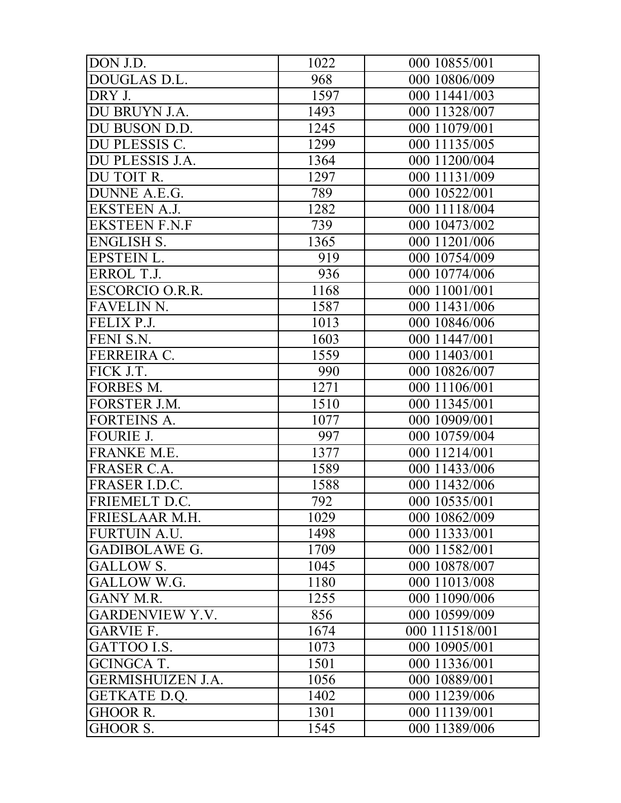| DON J.D.                 | 1022 | 000 10855/001  |
|--------------------------|------|----------------|
| DOUGLAS D.L.             | 968  | 000 10806/009  |
| DRY J.                   | 1597 | 000 11441/003  |
| DU BRUYN J.A.            | 1493 | 000 11328/007  |
| DU BUSON D.D.            | 1245 | 000 11079/001  |
| DU PLESSIS C.            | 1299 | 000 11135/005  |
| DU PLESSIS J.A.          | 1364 | 000 11200/004  |
| DU TOIT R.               | 1297 | 000 11131/009  |
| DUNNE A.E.G.             | 789  | 000 10522/001  |
| <b>EKSTEEN A.J.</b>      | 1282 | 000 11118/004  |
| <b>EKSTEEN F.N.F</b>     | 739  | 000 10473/002  |
| <b>ENGLISH S.</b>        | 1365 | 000 11201/006  |
| EPSTEIN L.               | 919  | 000 10754/009  |
| ERROL T.J.               | 936  | 000 10774/006  |
| ESCORCIO O.R.R.          | 1168 | 000 11001/001  |
| <b>FAVELIN N.</b>        | 1587 | 000 11431/006  |
| FELIX P.J.               | 1013 | 000 10846/006  |
| FENI S.N.                | 1603 | 000 11447/001  |
| FERREIRA C.              | 1559 | 000 11403/001  |
| FICK J.T.                | 990  | 000 10826/007  |
| FORBES M.                | 1271 | 000 11106/001  |
| FORSTER J.M.             | 1510 | 000 11345/001  |
| <b>FORTEINS A.</b>       | 1077 | 000 10909/001  |
| <b>FOURIE J.</b>         | 997  | 000 10759/004  |
| FRANKE M.E.              | 1377 | 000 11214/001  |
| FRASER C.A.              | 1589 | 000 11433/006  |
| FRASER I.D.C.            | 1588 | 000 11432/006  |
| FRIEMELT D.C.            | 792  | 000 10535/001  |
| FRIESLAAR M.H.           | 1029 | 000 10862/009  |
| <b>FURTUIN A.U.</b>      | 1498 | 000 11333/001  |
| <b>GADIBOLAWE G.</b>     | 1709 | 000 11582/001  |
| <b>GALLOW S.</b>         | 1045 | 000 10878/007  |
| GALLOW W.G.              | 1180 | 000 11013/008  |
| GANY M.R.                | 1255 | 000 11090/006  |
| <b>GARDENVIEW Y.V.</b>   | 856  | 000 10599/009  |
| <b>GARVIE F.</b>         | 1674 | 000 111518/001 |
| GATTOO I.S.              | 1073 | 000 10905/001  |
| <b>GCINGCA T.</b>        | 1501 | 000 11336/001  |
| <b>GERMISHUIZEN J.A.</b> | 1056 | 000 10889/001  |
| GETKATE D.Q.             | 1402 | 000 11239/006  |
| <b>GHOOR R.</b>          | 1301 | 000 11139/001  |
| GHOOR S.                 | 1545 | 000 11389/006  |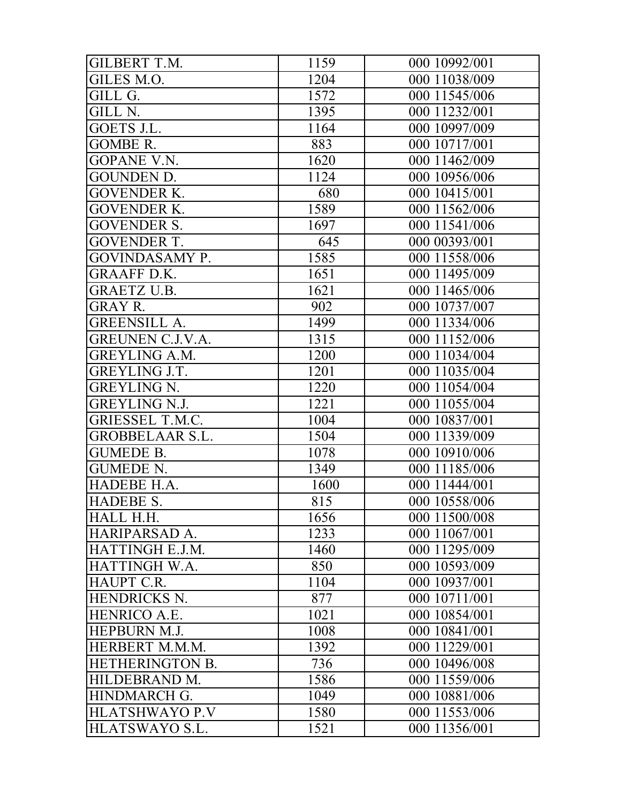| <b>GILBERT T.M.</b>     | 1159 | 000 10992/001 |
|-------------------------|------|---------------|
| GILES M.O.              | 1204 | 000 11038/009 |
| GILL G.                 | 1572 | 000 11545/006 |
| GILL N.                 | 1395 | 000 11232/001 |
| GOETS J.L.              | 1164 | 000 10997/009 |
| <b>GOMBE R.</b>         | 883  | 000 10717/001 |
| GOPANE V.N.             | 1620 | 000 11462/009 |
| <b>GOUNDEN D.</b>       | 1124 | 000 10956/006 |
| <b>GOVENDER K.</b>      | 680  | 000 10415/001 |
| <b>GOVENDER K.</b>      | 1589 | 000 11562/006 |
| <b>GOVENDER S.</b>      | 1697 | 000 11541/006 |
| <b>GOVENDER T.</b>      | 645  | 000 00393/001 |
| <b>GOVINDASAMY P.</b>   | 1585 | 000 11558/006 |
| <b>GRAAFF D.K.</b>      | 1651 | 000 11495/009 |
| <b>GRAETZ U.B.</b>      | 1621 | 000 11465/006 |
| <b>GRAY R.</b>          | 902  | 000 10737/007 |
| <b>GREENSILL A.</b>     | 1499 | 000 11334/006 |
| <b>GREUNEN C.J.V.A.</b> | 1315 | 000 11152/006 |
| <b>GREYLING A.M.</b>    | 1200 | 000 11034/004 |
| <b>GREYLING J.T.</b>    | 1201 | 000 11035/004 |
| <b>GREYLING N.</b>      | 1220 | 000 11054/004 |
| <b>GREYLING N.J.</b>    | 1221 | 000 11055/004 |
| <b>GRIESSEL T.M.C.</b>  | 1004 | 000 10837/001 |
| <b>GROBBELAAR S.L.</b>  | 1504 | 000 11339/009 |
| <b>GUMEDE B.</b>        | 1078 | 000 10910/006 |
| <b>GUMEDE N.</b>        | 1349 | 000 11185/006 |
| HADEBE H.A.             | 1600 | 000 11444/001 |
| HADEBE S.               | 815  | 000 10558/006 |
| HALL H.H.               | 1656 | 000 11500/008 |
| HARIPARSAD A.           | 1233 | 000 11067/001 |
| HATTINGH E.J.M.         | 1460 | 000 11295/009 |
| HATTINGH W.A.           | 850  | 000 10593/009 |
| HAUPT C.R.              | 1104 | 000 10937/001 |
| HENDRICKS N.            | 877  | 000 10711/001 |
| HENRICO A.E.            | 1021 | 000 10854/001 |
| HEPBURN M.J.            | 1008 | 000 10841/001 |
| HERBERT M.M.M.          | 1392 | 000 11229/001 |
| <b>HETHERINGTON B.</b>  | 736  | 000 10496/008 |
| HILDEBRAND M.           | 1586 | 000 11559/006 |
| HINDMARCH G.            | 1049 | 000 10881/006 |
| <b>HLATSHWAYO P.V</b>   | 1580 | 000 11553/006 |
| HLATSWAYO S.L.          | 1521 | 000 11356/001 |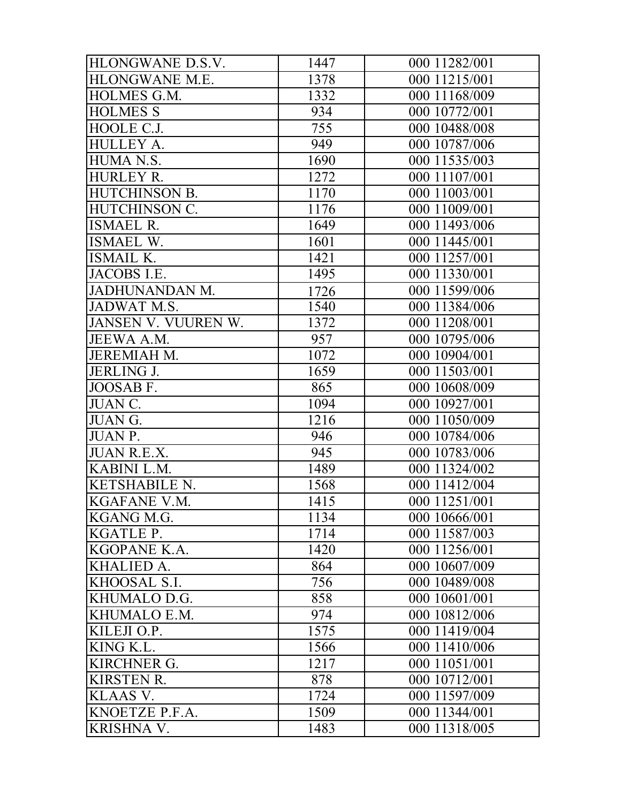| HLONGWANE D.S.V.    | 1447 | 000 11282/001 |
|---------------------|------|---------------|
| HLONGWANE M.E.      | 1378 | 000 11215/001 |
| <b>HOLMES G.M.</b>  | 1332 | 000 11168/009 |
| <b>HOLMES S</b>     | 934  | 000 10772/001 |
| HOOLE C.J.          | 755  | 000 10488/008 |
| HULLEY A.           | 949  | 000 10787/006 |
| HUMA N.S.           | 1690 | 000 11535/003 |
| <b>HURLEY R.</b>    | 1272 | 000 11107/001 |
| HUTCHINSON B.       | 1170 | 000 11003/001 |
| HUTCHINSON C.       | 1176 | 000 11009/001 |
| <b>ISMAEL R.</b>    | 1649 | 000 11493/006 |
| <b>ISMAEL W.</b>    | 1601 | 000 11445/001 |
| <b>ISMAIL K.</b>    | 1421 | 000 11257/001 |
| JACOBS I.E.         | 1495 | 000 11330/001 |
| JADHUNANDAN M.      | 1726 | 000 11599/006 |
| JADWAT M.S.         | 1540 | 000 11384/006 |
| JANSEN V. VUUREN W. | 1372 | 000 11208/001 |
| JEEWA A.M.          | 957  | 000 10795/006 |
| <b>JEREMIAH M.</b>  | 1072 | 000 10904/001 |
| <b>JERLING J.</b>   | 1659 | 000 11503/001 |
| JOOSAB F.           | 865  | 000 10608/009 |
| JUAN C.             | 1094 | 000 10927/001 |
| JUAN G.             | 1216 | 000 11050/009 |
| <b>JUAN P.</b>      | 946  | 000 10784/006 |
| <b>JUAN R.E.X.</b>  | 945  | 000 10783/006 |
| KABINI L.M.         | 1489 | 000 11324/002 |
| KETSHABILE N.       | 1568 | 000 11412/004 |
| KGAFANE V.M.        | 1415 | 000 11251/001 |
| KGANG M.G.          | 1134 | 000 10666/001 |
| <b>KGATLE P.</b>    | 1714 | 000 11587/003 |
| KGOPANE K.A.        | 1420 | 000 11256/001 |
| KHALIED A.          | 864  | 000 10607/009 |
| KHOOSAL S.I.        | 756  | 000 10489/008 |
| KHUMALO D.G.        | 858  | 000 10601/001 |
| KHUMALO E.M.        | 974  | 000 10812/006 |
| KILEJI O.P.         | 1575 | 000 11419/004 |
| KING K.L.           | 1566 | 000 11410/006 |
| <b>KIRCHNER G.</b>  | 1217 | 000 11051/001 |
| <b>KIRSTEN R.</b>   | 878  | 000 10712/001 |
| KLAAS V.            | 1724 | 000 11597/009 |
| KNOETZE P.F.A.      | 1509 | 000 11344/001 |
| KRISHNA V.          | 1483 | 000 11318/005 |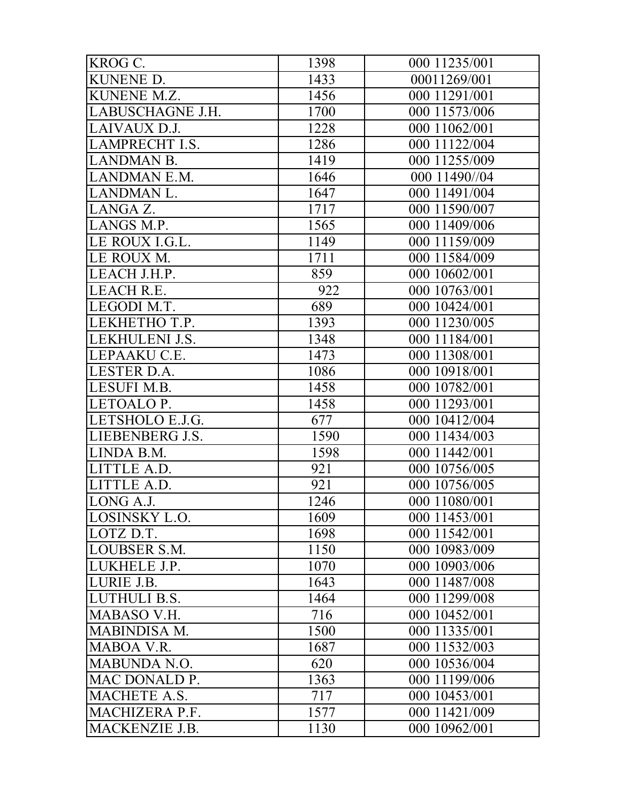| KROG C.               | 1398 | 000 11235/001 |
|-----------------------|------|---------------|
| KUNENE D.             | 1433 | 00011269/001  |
| KUNENE M.Z.           | 1456 | 000 11291/001 |
| LABUSCHAGNE J.H.      | 1700 | 000 11573/006 |
| LAIVAUX D.J.          | 1228 | 000 11062/001 |
| <b>LAMPRECHT I.S.</b> | 1286 | 000 11122/004 |
| <b>LANDMAN B.</b>     | 1419 | 000 11255/009 |
| <b>LANDMAN E.M.</b>   | 1646 | 000 11490//04 |
| <b>LANDMAN L.</b>     | 1647 | 000 11491/004 |
| LANGA Z.              | 1717 | 000 11590/007 |
| LANGS M.P.            | 1565 | 000 11409/006 |
| LE ROUX I.G.L.        | 1149 | 000 11159/009 |
| LE ROUX M.            | 1711 | 000 11584/009 |
| LEACH J.H.P.          | 859  | 000 10602/001 |
| LEACH R.E.            | 922  | 000 10763/001 |
| LEGODI M.T.           | 689  | 000 10424/001 |
| LEKHETHO T.P.         | 1393 | 000 11230/005 |
| LEKHULENI J.S.        | 1348 | 000 11184/001 |
| LEPAAKU C.E.          | 1473 | 000 11308/001 |
| LESTER D.A.           | 1086 | 000 10918/001 |
| LESUFI M.B.           | 1458 | 000 10782/001 |
| LETOALO P.            | 1458 | 000 11293/001 |
| LETSHOLO E.J.G.       | 677  | 000 10412/004 |
| LIEBENBERG J.S.       | 1590 | 000 11434/003 |
| LINDA B.M.            | 1598 | 000 11442/001 |
| LITTLE A.D.           | 921  | 000 10756/005 |
| LITTLE A.D.           | 921  | 000 10756/005 |
| LONG A.J.             | 1246 | 000 11080/001 |
| LOSINSKY L.O.         | 1609 | 000 11453/001 |
| LOTZ D.T.             | 1698 | 000 11542/001 |
| LOUBSER S.M.          | 1150 | 000 10983/009 |
| LUKHELE J.P.          | 1070 | 000 10903/006 |
| LURIE J.B.            | 1643 | 000 11487/008 |
| LUTHULI B.S.          | 1464 | 000 11299/008 |
| MABASO V.H.           | 716  | 000 10452/001 |
| <b>MABINDISA M.</b>   | 1500 | 000 11335/001 |
| MABOA V.R.            | 1687 | 000 11532/003 |
| <b>MABUNDA N.O.</b>   | 620  | 000 10536/004 |
| MAC DONALD P.         | 1363 | 000 11199/006 |
| MACHETE A.S.          | 717  | 000 10453/001 |
| MACHIZERA P.F.        | 1577 | 000 11421/009 |
| MACKENZIE J.B.        | 1130 | 000 10962/001 |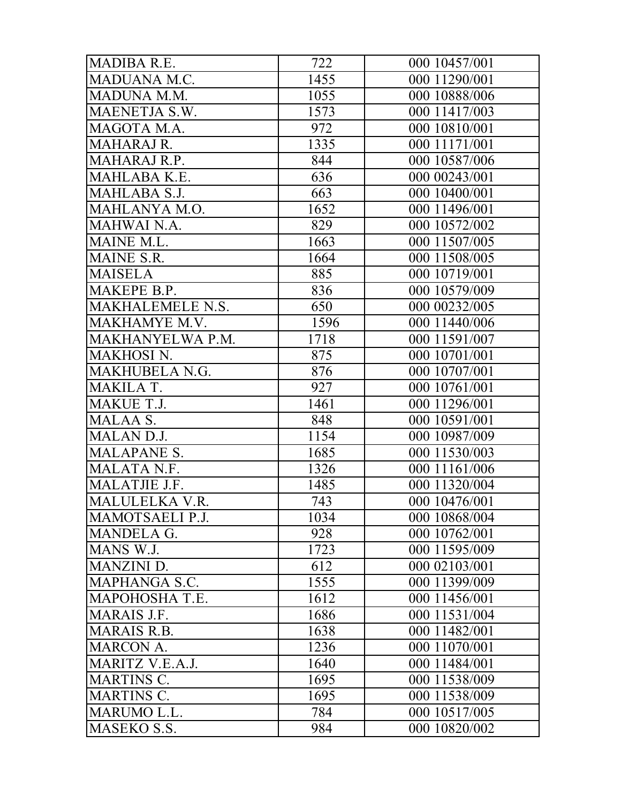| MADIBA R.E.        | 722  | 000 10457/001 |
|--------------------|------|---------------|
| MADUANA M.C.       | 1455 | 000 11290/001 |
| MADUNA M.M.        | 1055 | 000 10888/006 |
| MAENETJA S.W.      | 1573 | 000 11417/003 |
| MAGOTA M.A.        | 972  | 000 10810/001 |
| <b>MAHARAJ R.</b>  | 1335 | 000 11171/001 |
| MAHARAJ R.P.       | 844  | 000 10587/006 |
| MAHLABA K.E.       | 636  | 000 00243/001 |
| MAHLABA S.J.       | 663  | 000 10400/001 |
| MAHLANYA M.O.      | 1652 | 000 11496/001 |
| <b>MAHWAI N.A.</b> | 829  | 000 10572/002 |
| MAINE M.L.         | 1663 | 000 11507/005 |
| <b>MAINE S.R.</b>  | 1664 | 000 11508/005 |
| <b>MAISELA</b>     | 885  | 000 10719/001 |
| MAKEPE B.P.        | 836  | 000 10579/009 |
| MAKHALEMELE N.S.   | 650  | 000 00232/005 |
| MAKHAMYE M.V.      | 1596 | 000 11440/006 |
| MAKHANYELWA P.M.   | 1718 | 000 11591/007 |
| <b>MAKHOSI N.</b>  | 875  | 000 10701/001 |
| MAKHUBELA N.G.     | 876  | 000 10707/001 |
| MAKILA T.          | 927  | 000 10761/001 |
| <b>MAKUE T.J.</b>  | 1461 | 000 11296/001 |
| MALAA S.           | 848  | 000 10591/001 |
| <b>MALAN D.J.</b>  | 1154 | 000 10987/009 |
| <b>MALAPANE S.</b> | 1685 | 000 11530/003 |
| MALATA N.F.        | 1326 | 000 11161/006 |
| MALATJIE J.F.      | 1485 | 000 11320/004 |
| MALULELKA V.R.     | 743  | 000 10476/001 |
| MAMOTSAELI P.J.    | 1034 | 000 10868/004 |
| <b>MANDELA G.</b>  | 928  | 000 10762/001 |
| MANS W.J.          | 1723 | 000 11595/009 |
| <b>MANZINI D.</b>  | 612  | 000 02103/001 |
| MAPHANGA S.C.      | 1555 | 000 11399/009 |
| MAPOHOSHA T.E.     | 1612 | 000 11456/001 |
| <b>MARAIS J.F.</b> | 1686 | 000 11531/004 |
| <b>MARAIS R.B.</b> | 1638 | 000 11482/001 |
| <b>MARCON A.</b>   | 1236 | 000 11070/001 |
| MARITZ V.E.A.J.    | 1640 | 000 11484/001 |
| <b>MARTINS C.</b>  | 1695 | 000 11538/009 |
| <b>MARTINS C.</b>  | 1695 | 000 11538/009 |
| MARUMO L.L.        | 784  | 000 10517/005 |
| MASEKO S.S.        | 984  | 000 10820/002 |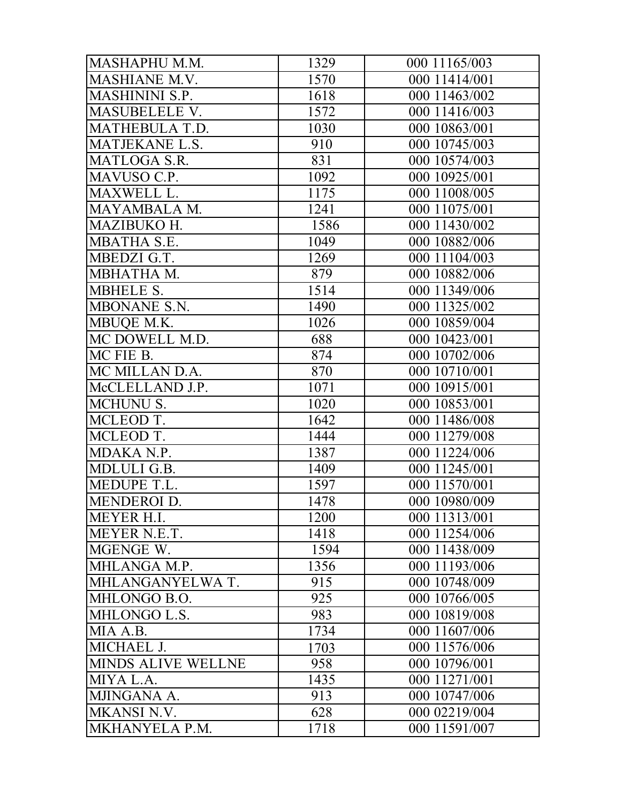| MASHAPHU M.M.         | 1329 | 000 11165/003 |
|-----------------------|------|---------------|
| MASHIANE M.V.         | 1570 | 000 11414/001 |
| <b>MASHININI S.P.</b> | 1618 | 000 11463/002 |
| MASUBELELE V.         | 1572 | 000 11416/003 |
| MATHEBULA T.D.        | 1030 | 000 10863/001 |
| MATJEKANE L.S.        | 910  | 000 10745/003 |
| <b>MATLOGA S.R.</b>   | 831  | 000 10574/003 |
| MAVUSO C.P.           | 1092 | 000 10925/001 |
| MAXWELL L.            | 1175 | 000 11008/005 |
| MAYAMBALA M.          | 1241 | 000 11075/001 |
| MAZIBUKO H.           | 1586 | 000 11430/002 |
| MBATHA S.E.           | 1049 | 000 10882/006 |
| MBEDZI G.T.           | 1269 | 000 11104/003 |
| MBHATHA M.            | 879  | 000 10882/006 |
| <b>MBHELE S.</b>      | 1514 | 000 11349/006 |
| MBONANE S.N.          | 1490 | 000 11325/002 |
| MBUQE M.K.            | 1026 | 000 10859/004 |
| MC DOWELL M.D.        | 688  | 000 10423/001 |
| MC FIE B.             | 874  | 000 10702/006 |
| MC MILLAN D.A.        | 870  | 000 10710/001 |
| McCLELLAND J.P.       | 1071 | 000 10915/001 |
| <b>MCHUNU S.</b>      | 1020 | 000 10853/001 |
| MCLEOD T.             | 1642 | 000 11486/008 |
| MCLEOD T.             | 1444 | 000 11279/008 |
| MDAKA N.P.            | 1387 | 000 11224/006 |
| MDLULI G.B.           | 1409 | 000 11245/001 |
| MEDUPE T.L.           | 1597 | 000 11570/001 |
| <b>MENDEROI D.</b>    | 1478 | 000 10980/009 |
| MEYER H.I.            | 1200 | 000 11313/001 |
| MEYER N.E.T.          | 1418 | 000 11254/006 |
| MGENGE W.             | 1594 | 000 11438/009 |
| MHLANGA M.P.          | 1356 | 000 11193/006 |
| MHLANGANYELWA T.      | 915  | 000 10748/009 |
| MHLONGO B.O.          | 925  | 000 10766/005 |
| MHLONGO L.S.          | 983  | 000 10819/008 |
| MIA A.B.              | 1734 | 000 11607/006 |
| MICHAEL J.            | 1703 | 000 11576/006 |
| MINDS ALIVE WELLNE    | 958  | 000 10796/001 |
| MIYA L.A.             | 1435 | 000 11271/001 |
| MJINGANA A.           | 913  | 000 10747/006 |
| <b>MKANSI N.V.</b>    | 628  | 000 02219/004 |
| MKHANYELA P.M.        | 1718 | 000 11591/007 |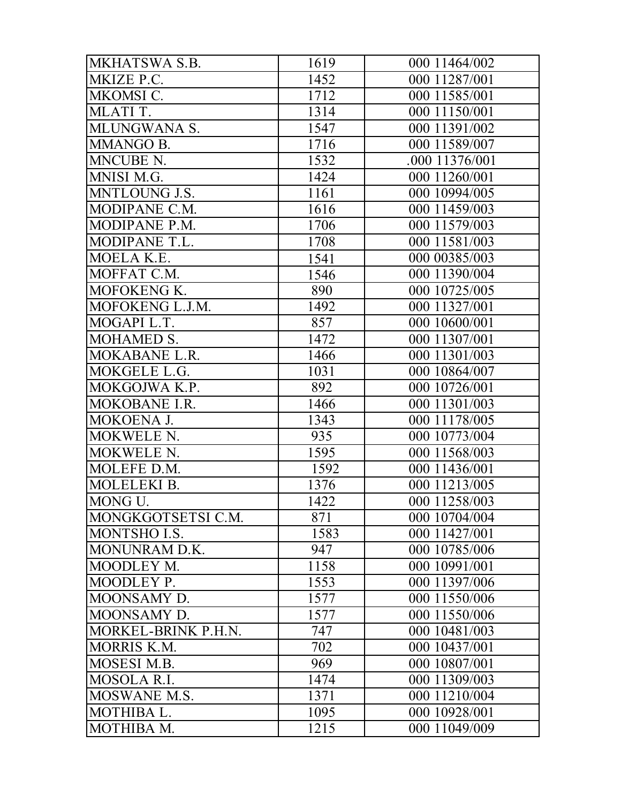| MKHATSWA S.B.       | 1619 | 000 11464/002  |
|---------------------|------|----------------|
| MKIZE P.C.          | 1452 | 000 11287/001  |
| MKOMSI C.           | 1712 | 000 11585/001  |
| MLATI T.            | 1314 | 000 11150/001  |
| MLUNGWANA S.        | 1547 | 000 11391/002  |
| <b>MMANGO B.</b>    | 1716 | 000 11589/007  |
| MNCUBE N.           | 1532 | .000 11376/001 |
| MNISI M.G.          | 1424 | 000 11260/001  |
| MNTLOUNG J.S.       | 1161 | 000 10994/005  |
| MODIPANE C.M.       | 1616 | 000 11459/003  |
| MODIPANE P.M.       | 1706 | 000 11579/003  |
| MODIPANE T.L.       | 1708 | 000 11581/003  |
| MOELA K.E.          | 1541 | 000 00385/003  |
| MOFFAT C.M.         | 1546 | 000 11390/004  |
| MOFOKENG K.         | 890  | 000 10725/005  |
| MOFOKENG L.J.M.     | 1492 | 000 11327/001  |
| MOGAPI L.T.         | 857  | 000 10600/001  |
| MOHAMED S.          | 1472 | 000 11307/001  |
| MOKABANE L.R.       | 1466 | 000 11301/003  |
| MOKGELE L.G.        | 1031 | 000 10864/007  |
| MOKGOJWA K.P.       | 892  | 000 10726/001  |
| MOKOBANE I.R.       | 1466 | 000 11301/003  |
| MOKOENA J.          | 1343 | 000 11178/005  |
| MOKWELE N.          | 935  | 000 10773/004  |
| MOKWELE N.          | 1595 | 000 11568/003  |
| MOLEFE D.M.         | 1592 | 000 11436/001  |
| MOLELEKI B.         | 1376 | 000 11213/005  |
| MONG U.             | 1422 | 000 11258/003  |
| MONGKGOTSETSI C.M.  | 871  | 000 10704/004  |
| MONTSHO I.S.        | 1583 | 000 11427/001  |
| MONUNRAM D.K.       | 947  | 000 10785/006  |
| MOODLEY M.          | 1158 | 000 10991/001  |
| MOODLEY P.          | 1553 | 000 11397/006  |
| MOONSAMY D.         | 1577 | 000 11550/006  |
| MOONSAMY D.         | 1577 | 000 11550/006  |
| MORKEL-BRINK P.H.N. | 747  | 000 10481/003  |
| <b>MORRIS K.M.</b>  | 702  | 000 10437/001  |
| MOSESI M.B.         | 969  | 000 10807/001  |
| MOSOLA R.I.         | 1474 | 000 11309/003  |
| MOSWANE M.S.        | 1371 | 000 11210/004  |
| MOTHIBA L.          | 1095 | 000 10928/001  |
| MOTHIBA M.          | 1215 | 000 11049/009  |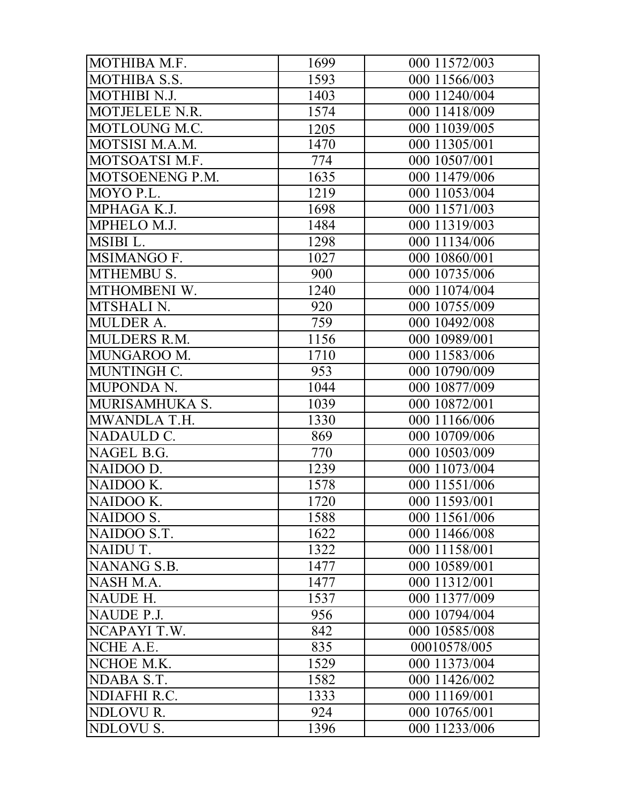| MOTHIBA M.F.        | 1699 | 000 11572/003 |
|---------------------|------|---------------|
| <b>MOTHIBA S.S.</b> | 1593 | 000 11566/003 |
| MOTHIBI N.J.        | 1403 | 000 11240/004 |
| MOTJELELE N.R.      | 1574 | 000 11418/009 |
| MOTLOUNG M.C.       | 1205 | 000 11039/005 |
| MOTSISI M.A.M.      | 1470 | 000 11305/001 |
| MOTSOATSI M.F.      | 774  | 000 10507/001 |
| MOTSOENENG P.M.     | 1635 | 000 11479/006 |
| MOYO P.L.           | 1219 | 000 11053/004 |
| MPHAGA K.J.         | 1698 | 000 11571/003 |
| MPHELO M.J.         | 1484 | 000 11319/003 |
| MSIBI L.            | 1298 | 000 11134/006 |
| <b>MSIMANGO F.</b>  | 1027 | 000 10860/001 |
| MTHEMBU S.          | 900  | 000 10735/006 |
| MTHOMBENI W.        | 1240 | 000 11074/004 |
| MTSHALI N.          | 920  | 000 10755/009 |
| <b>MULDER A.</b>    | 759  | 000 10492/008 |
| <b>MULDERS R.M.</b> | 1156 | 000 10989/001 |
| MUNGAROO M.         | 1710 | 000 11583/006 |
| MUNTINGH C.         | 953  | 000 10790/009 |
| MUPONDA N.          | 1044 | 000 10877/009 |
| MURISAMHUKA S.      | 1039 | 000 10872/001 |
| MWANDLA T.H.        | 1330 | 000 11166/006 |
| NADAULD C.          | 869  | 000 10709/006 |
| NAGEL B.G.          | 770  | 000 10503/009 |
| NAIDOO D.           | 1239 | 000 11073/004 |
| NAIDOO K.           | 1578 | 000 11551/006 |
| NAIDOO K.           | 1720 | 000 11593/001 |
| NAIDOO S.           | 1588 | 000 11561/006 |
| NAIDOO S.T.         | 1622 | 000 11466/008 |
| NAIDU T.            | 1322 | 000 11158/001 |
| NANANG S.B.         | 1477 | 000 10589/001 |
| NASH M.A.           | 1477 | 000 11312/001 |
| NAUDE H.            | 1537 | 000 11377/009 |
| NAUDE P.J.          | 956  | 000 10794/004 |
| NCAPAYI T.W.        | 842  | 000 10585/008 |
| NCHE A.E.           | 835  | 00010578/005  |
| NCHOE M.K.          | 1529 | 000 11373/004 |
| NDABA S.T.          | 1582 | 000 11426/002 |
| NDIAFHI R.C.        | 1333 | 000 11169/001 |
| NDLOVUR.            | 924  | 000 10765/001 |
| NDLOVU S.           | 1396 | 000 11233/006 |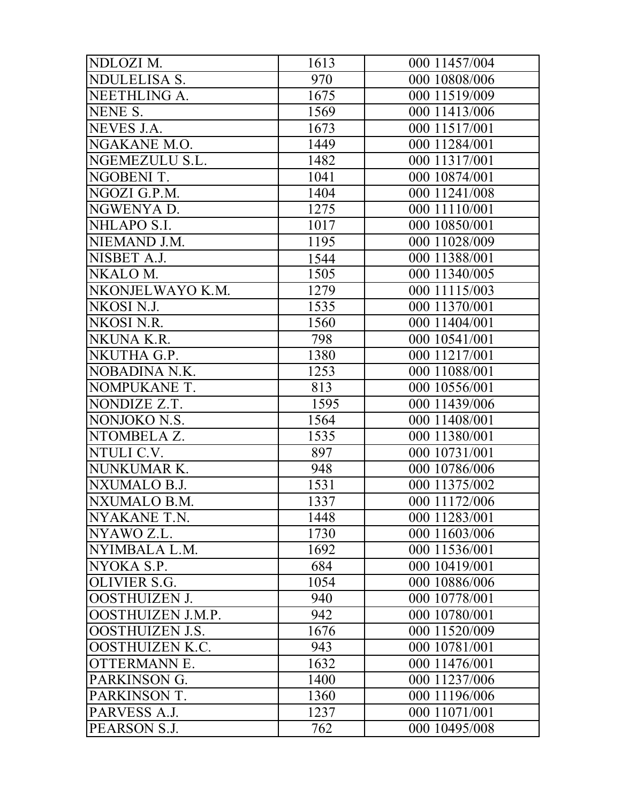| NDLOZI M.              | 1613 | 000 11457/004 |
|------------------------|------|---------------|
| <b>NDULELISA S.</b>    | 970  | 000 10808/006 |
| NEETHLING A.           | 1675 | 000 11519/009 |
| NENE S.                | 1569 | 000 11413/006 |
| NEVES J.A.             | 1673 | 000 11517/001 |
| NGAKANE M.O.           | 1449 | 000 11284/001 |
| NGEMEZULU S.L.         | 1482 | 000 11317/001 |
| NGOBENI T.             | 1041 | 000 10874/001 |
| NGOZI G.P.M.           | 1404 | 000 11241/008 |
| NGWENYA D.             | 1275 | 000 11110/001 |
| NHLAPO S.I.            | 1017 | 000 10850/001 |
| NIEMAND J.M.           | 1195 | 000 11028/009 |
| NISBET A.J.            | 1544 | 000 11388/001 |
| NKALO M.               | 1505 | 000 11340/005 |
| NKONJELWAYO K.M.       | 1279 | 000 11115/003 |
| NKOSI N.J.             | 1535 | 000 11370/001 |
| NKOSI N.R.             | 1560 | 000 11404/001 |
| NKUNA K.R.             | 798  | 000 10541/001 |
| NKUTHA G.P.            | 1380 | 000 11217/001 |
| NOBADINA N.K.          | 1253 | 000 11088/001 |
| NOMPUKANE T.           | 813  | 000 10556/001 |
| NONDIZE Z.T.           | 1595 | 000 11439/006 |
| NONJOKO N.S.           | 1564 | 000 11408/001 |
| NTOMBELA Z.            | 1535 | 000 11380/001 |
| NTULI C.V.             | 897  | 000 10731/001 |
| NUNKUMAR K.            | 948  | 000 10786/006 |
| NXUMALO B.J.           | 1531 | 000 11375/002 |
| NXUMALO B.M.           | 1337 | 000 11172/006 |
| NYAKANE T.N.           | 1448 | 000 11283/001 |
| NYAWO Z.L.             | 1730 | 000 11603/006 |
| NYIMBALA L.M.          | 1692 | 000 11536/001 |
| NYOKA S.P.             | 684  | 000 10419/001 |
| OLIVIER S.G.           | 1054 | 000 10886/006 |
| <b>OOSTHUIZEN J.</b>   | 940  | 000 10778/001 |
| OOSTHUIZEN J.M.P.      | 942  | 000 10780/001 |
| <b>OOSTHUIZEN J.S.</b> | 1676 | 000 11520/009 |
| <b>OOSTHUIZEN K.C.</b> | 943  | 000 10781/001 |
| <b>OTTERMANN E.</b>    | 1632 | 000 11476/001 |
| PARKINSON G.           | 1400 | 000 11237/006 |
| PARKINSON T.           | 1360 | 000 11196/006 |
| PARVESS A.J.           | 1237 | 000 11071/001 |
| PEARSON S.J.           | 762  | 000 10495/008 |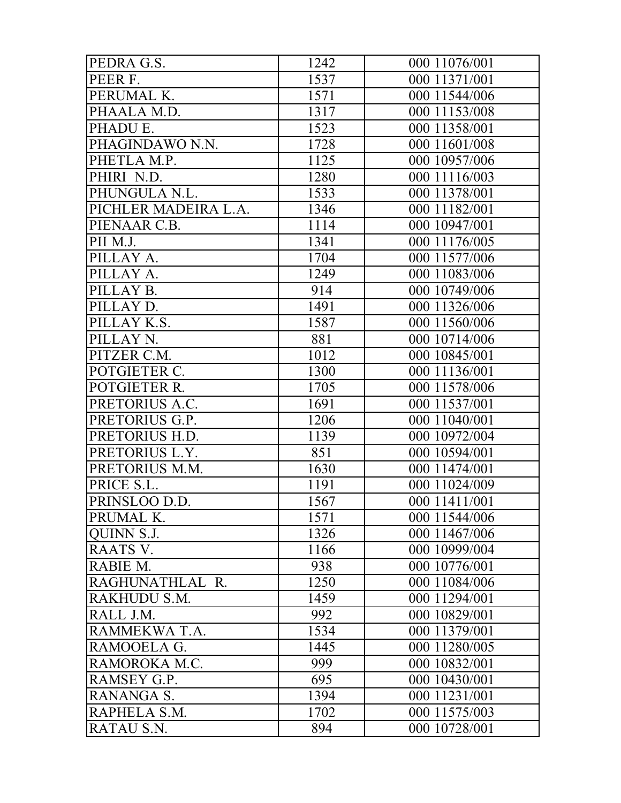| PEDRA G.S.           | 1242 | 000 11076/001 |
|----------------------|------|---------------|
| PEER F.              | 1537 | 000 11371/001 |
| PERUMAL K.           | 1571 | 000 11544/006 |
| PHAALA M.D.          | 1317 | 000 11153/008 |
| PHADU E.             | 1523 | 000 11358/001 |
| PHAGINDAWO N.N.      | 1728 | 000 11601/008 |
| PHETLA M.P.          | 1125 | 000 10957/006 |
| PHIRI N.D.           | 1280 | 000 11116/003 |
| PHUNGULA N.L.        | 1533 | 000 11378/001 |
| PICHLER MADEIRA L.A. | 1346 | 000 11182/001 |
| PIENAAR C.B.         | 1114 | 000 10947/001 |
| PII M.J.             | 1341 | 000 11176/005 |
| PILLAY A.            | 1704 | 000 11577/006 |
| PILLAY A.            | 1249 | 000 11083/006 |
| PILLAY B.            | 914  | 000 10749/006 |
| PILLAY D.            | 1491 | 000 11326/006 |
| PILLAY K.S.          | 1587 | 000 11560/006 |
| PILLAY N.            | 881  | 000 10714/006 |
| PITZER C.M.          | 1012 | 000 10845/001 |
| POTGIETER C.         | 1300 | 000 11136/001 |
| POTGIETER R.         | 1705 | 000 11578/006 |
| PRETORIUS A.C.       | 1691 | 000 11537/001 |
| PRETORIUS G.P.       | 1206 | 000 11040/001 |
| PRETORIUS H.D.       | 1139 | 000 10972/004 |
| PRETORIUS L.Y.       | 851  | 000 10594/001 |
| PRETORIUS M.M.       | 1630 | 000 11474/001 |
| PRICE S.L.           | 1191 | 000 11024/009 |
| PRINSLOO D.D.        | 1567 | 000 11411/001 |
| PRUMAL K.            | 1571 | 000 11544/006 |
| QUINN S.J.           | 1326 | 000 11467/006 |
| RAATS V.             | 1166 | 000 10999/004 |
| RABIE M.             | 938  | 000 10776/001 |
| RAGHUNATHLAL R.      | 1250 | 000 11084/006 |
| RAKHUDU S.M.         | 1459 | 000 11294/001 |
| RALL J.M.            | 992  | 000 10829/001 |
| RAMMEKWA T.A.        | 1534 | 000 11379/001 |
| RAMOOELA G.          | 1445 | 000 11280/005 |
| RAMOROKA M.C.        | 999  | 000 10832/001 |
| RAMSEY G.P.          | 695  | 000 10430/001 |
| RANANGA S.           | 1394 | 000 11231/001 |
| RAPHELA S.M.         | 1702 | 000 11575/003 |
| RATAU S.N.           | 894  | 000 10728/001 |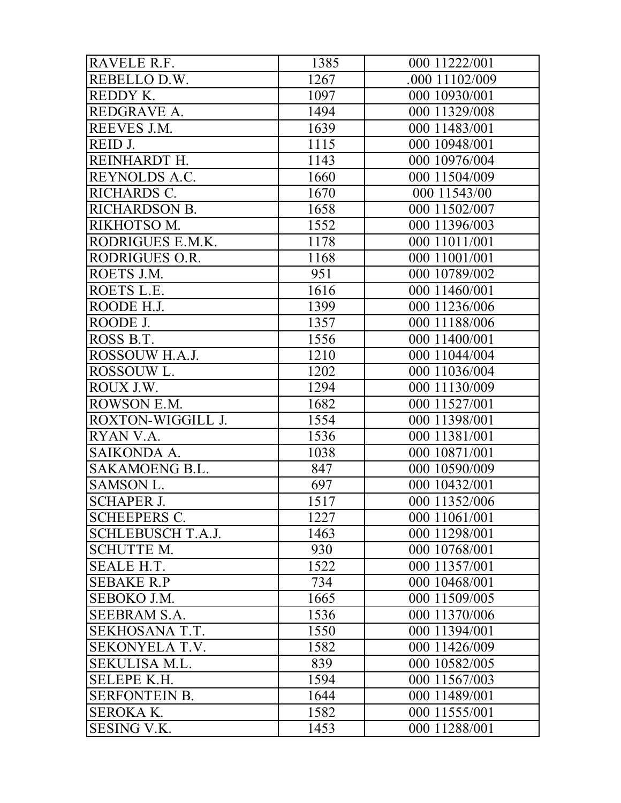| RAVELE R.F.              | 1385 | 000 11222/001  |
|--------------------------|------|----------------|
| REBELLO D.W.             | 1267 | .000 11102/009 |
| REDDY K.                 | 1097 | 000 10930/001  |
| REDGRAVE A.              | 1494 | 000 11329/008  |
| REEVES J.M.              | 1639 | 000 11483/001  |
| REID J.                  | 1115 | 000 10948/001  |
| REINHARDT H.             | 1143 | 000 10976/004  |
| REYNOLDS A.C.            | 1660 | 000 11504/009  |
| RICHARDS C.              | 1670 | 000 11543/00   |
| <b>RICHARDSON B.</b>     | 1658 | 000 11502/007  |
| RIKHOTSO M.              | 1552 | 000 11396/003  |
| RODRIGUES E.M.K.         | 1178 | 000 11011/001  |
| RODRIGUES O.R.           | 1168 | 000 11001/001  |
| ROETS J.M.               | 951  | 000 10789/002  |
| ROETS L.E.               | 1616 | 000 11460/001  |
| ROODE H.J.               | 1399 | 000 11236/006  |
| ROODE J.                 | 1357 | 000 11188/006  |
| ROSS B.T.                | 1556 | 000 11400/001  |
| ROSSOUW H.A.J.           | 1210 | 000 11044/004  |
| ROSSOUW L.               | 1202 | 000 11036/004  |
| ROUX J.W.                | 1294 | 000 11130/009  |
| ROWSON E.M.              | 1682 | 000 11527/001  |
| ROXTON-WIGGILL J.        | 1554 | 000 11398/001  |
| RYAN V.A.                | 1536 | 000 11381/001  |
| SAIKONDA A.              | 1038 | 000 10871/001  |
| <b>SAKAMOENG B.L.</b>    | 847  | 000 10590/009  |
| SAMSON L.                | 697  | 000 10432/001  |
| <b>SCHAPER J.</b>        | 1517 | 000 11352/006  |
| <b>SCHEEPERS C.</b>      | 1227 | 000 11061/001  |
| <b>SCHLEBUSCH T.A.J.</b> | 1463 | 000 11298/001  |
| <b>SCHUTTE M.</b>        | 930  | 000 10768/001  |
| <b>SEALE H.T.</b>        | 1522 | 000 11357/001  |
| <b>SEBAKE R.P</b>        | 734  | 000 10468/001  |
| SEBOKO J.M.              | 1665 | 000 11509/005  |
| <b>SEEBRAM S.A.</b>      | 1536 | 000 11370/006  |
| SEKHOSANA T.T.           | 1550 | 000 11394/001  |
| <b>SEKONYELA T.V.</b>    | 1582 | 000 11426/009  |
| SEKULISA M.L.            | 839  | 000 10582/005  |
| <b>SELEPE K.H.</b>       | 1594 | 000 11567/003  |
| <b>SERFONTEIN B.</b>     | 1644 | 000 11489/001  |
| <b>SEROKA K.</b>         | 1582 | 000 11555/001  |
| <b>SESING V.K.</b>       | 1453 | 000 11288/001  |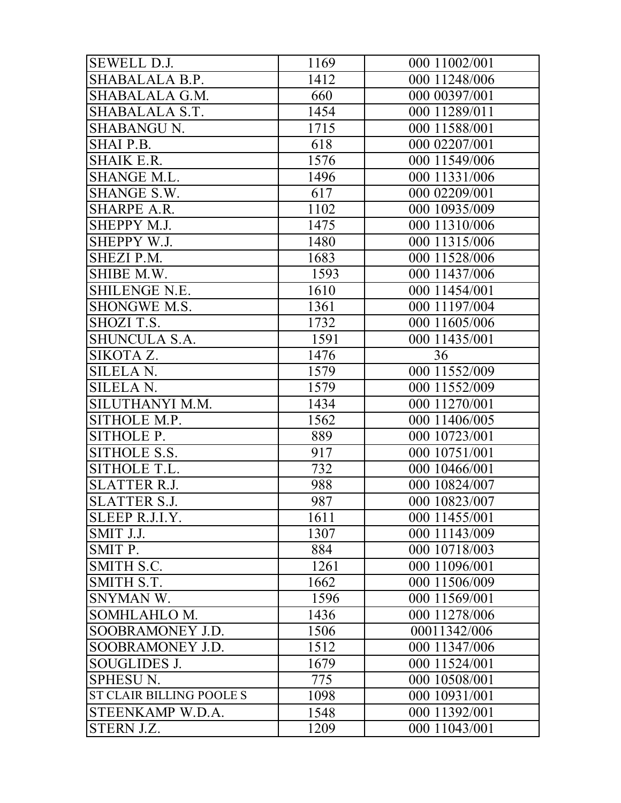| <b>SEWELL D.J.</b>              | 1169 | 000 11002/001 |
|---------------------------------|------|---------------|
| SHABALALA B.P.                  | 1412 | 000 11248/006 |
| SHABALALA G.M.                  | 660  | 000 00397/001 |
| SHABALALA S.T.                  | 1454 | 000 11289/011 |
| <b>SHABANGU N.</b>              | 1715 | 000 11588/001 |
| SHAI P.B.                       | 618  | 000 02207/001 |
| <b>SHAIK E.R.</b>               | 1576 | 000 11549/006 |
| <b>SHANGE M.L.</b>              | 1496 | 000 11331/006 |
| SHANGE S.W.                     | 617  | 000 02209/001 |
| <b>SHARPE A.R.</b>              | 1102 | 000 10935/009 |
| SHEPPY M.J.                     | 1475 | 000 11310/006 |
| SHEPPY W.J.                     | 1480 | 000 11315/006 |
| SHEZI P.M.                      | 1683 | 000 11528/006 |
| SHIBE M.W.                      | 1593 | 000 11437/006 |
| <b>SHILENGE N.E.</b>            | 1610 | 000 11454/001 |
| SHONGWE M.S.                    | 1361 | 000 11197/004 |
| SHOZI T.S.                      | 1732 | 000 11605/006 |
| <b>SHUNCULA S.A.</b>            | 1591 | 000 11435/001 |
| SIKOTA Z.                       | 1476 | 36            |
| <b>SILELA N.</b>                | 1579 | 000 11552/009 |
| <b>SILELA N.</b>                | 1579 | 000 11552/009 |
| SILUTHANYI M.M.                 | 1434 | 000 11270/001 |
| SITHOLE M.P.                    | 1562 | 000 11406/005 |
| SITHOLE P.                      | 889  | 000 10723/001 |
| SITHOLE S.S.                    | 917  | 000 10751/001 |
| SITHOLE T.L.                    | 732  | 000 10466/001 |
| <b>SLATTER R.J.</b>             | 988  | 000 10824/007 |
| <b>SLATTER S.J.</b>             | 987  | 000 10823/007 |
| SLEEP R.J.I.Y.                  | 1611 | 000 11455/001 |
| SMIT J.J.                       | 1307 | 000 11143/009 |
| SMIT P.                         | 884  | 000 10718/003 |
| <b>SMITH S.C.</b>               | 1261 | 000 11096/001 |
| SMITH S.T.                      | 1662 | 000 11506/009 |
| SNYMAN W.                       | 1596 | 000 11569/001 |
| SOMHLAHLO M.                    | 1436 | 000 11278/006 |
| SOOBRAMONEY J.D.                | 1506 | 00011342/006  |
| SOOBRAMONEY J.D.                | 1512 | 000 11347/006 |
| <b>SOUGLIDES J.</b>             | 1679 | 000 11524/001 |
| <b>SPHESU N.</b>                | 775  | 000 10508/001 |
| <b>ST CLAIR BILLING POOLE S</b> | 1098 | 000 10931/001 |
| STEENKAMP W.D.A.                | 1548 | 000 11392/001 |
| STERN J.Z.                      | 1209 | 000 11043/001 |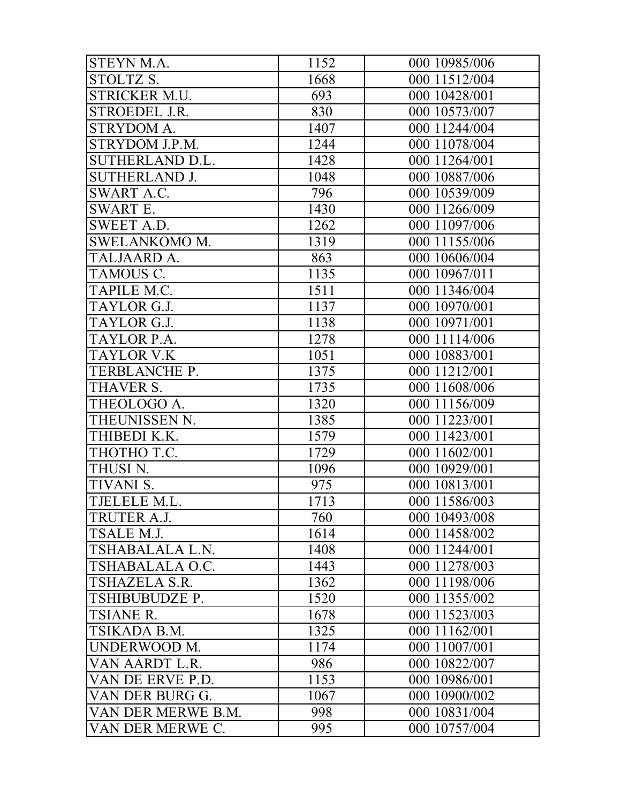| STEYN M.A.           | 1152 | 000 10985/006 |
|----------------------|------|---------------|
| STOLTZ S.            | 1668 | 000 11512/004 |
| <b>STRICKER M.U.</b> | 693  | 000 10428/001 |
| <b>STROEDEL J.R.</b> | 830  | 000 10573/007 |
| STRYDOM A.           | 1407 | 000 11244/004 |
| STRYDOM J.P.M.       | 1244 | 000 11078/004 |
| SUTHERLAND D.L.      | 1428 | 000 11264/001 |
| <b>SUTHERLAND J.</b> | 1048 | 000 10887/006 |
| <b>SWART A.C.</b>    | 796  | 000 10539/009 |
| <b>SWART E.</b>      | 1430 | 000 11266/009 |
| <b>SWEET A.D.</b>    | 1262 | 000 11097/006 |
| <b>SWELANKOMO M.</b> | 1319 | 000 11155/006 |
| TALJAARD A.          | 863  | 000 10606/004 |
| TAMOUS C.            | 1135 | 000 10967/011 |
| TAPILE M.C.          | 1511 | 000 11346/004 |
| TAYLOR G.J.          | 1137 | 000 10970/001 |
| TAYLOR G.J.          | 1138 | 000 10971/001 |
| TAYLOR P.A.          | 1278 | 000 11114/006 |
| <b>TAYLOR V.K</b>    | 1051 | 000 10883/001 |
| TERBLANCHE P.        | 1375 | 000 11212/001 |
| THAVER S.            | 1735 | 000 11608/006 |
| THEOLOGO A.          | 1320 | 000 11156/009 |
| THEUNISSEN N.        | 1385 | 000 11223/001 |
| THIBEDI K.K.         | 1579 | 000 11423/001 |
| THOTHO T.C.          | 1729 | 000 11602/001 |
| THUSI <sub>N.</sub>  | 1096 | 000 10929/001 |
| TIVANI S.            | 975  | 000 10813/001 |
| TJELELE M.L.         | 1713 | 000 11586/003 |
| TRUTER A.J.          | 760  | 000 10493/008 |
| TSALE M.J.           | 1614 | 000 11458/002 |
| TSHABALALA L.N.      | 1408 | 000 11244/001 |
| TSHABALALA O.C.      | 1443 | 000 11278/003 |
| <b>TSHAZELA S.R.</b> | 1362 | 000 11198/006 |
| TSHIBUBUDZE P.       | 1520 | 000 11355/002 |
| <b>TSIANE R.</b>     | 1678 | 000 11523/003 |
| TSIKADA B.M.         | 1325 | 000 11162/001 |
| UNDERWOOD M.         | 1174 | 000 11007/001 |
| VAN AARDT L.R.       | 986  | 000 10822/007 |
| VAN DE ERVE P.D.     | 1153 | 000 10986/001 |
| VAN DER BURG G.      | 1067 | 000 10900/002 |
| VAN DER MERWE B.M.   | 998  | 000 10831/004 |
| VAN DER MERWE C.     | 995  | 000 10757/004 |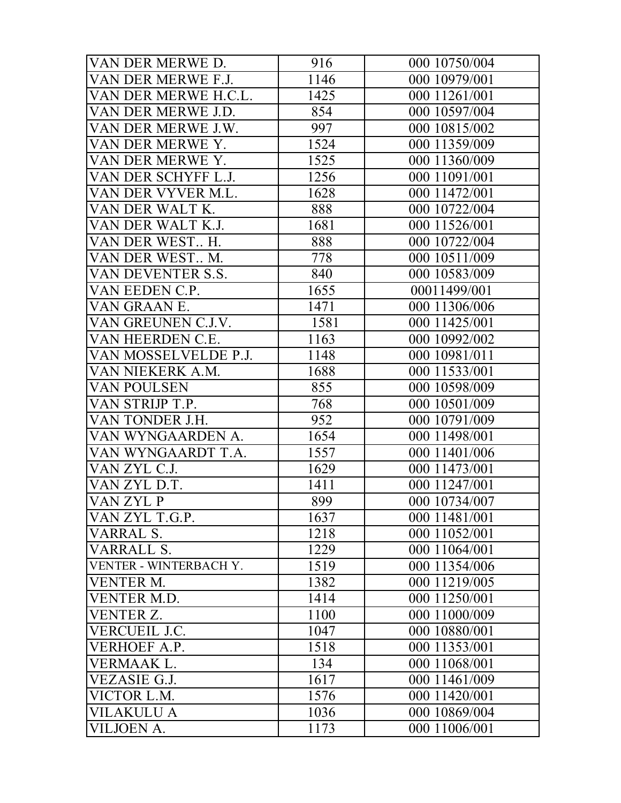| VAN DER MERWE D.       | 916  | 000 10750/004 |
|------------------------|------|---------------|
| VAN DER MERWE F.J.     | 1146 | 000 10979/001 |
| VAN DER MERWE H.C.L.   | 1425 | 000 11261/001 |
| VAN DER MERWE J.D.     | 854  | 000 10597/004 |
| VAN DER MERWE J.W.     | 997  | 000 10815/002 |
| VAN DER MERWE Y.       | 1524 | 000 11359/009 |
| VAN DER MERWE Y.       | 1525 | 000 11360/009 |
| VAN DER SCHYFF L.J.    | 1256 | 000 11091/001 |
| VAN DER VYVER M.L.     | 1628 | 000 11472/001 |
| VAN DER WALT K.        | 888  | 000 10722/004 |
| VAN DER WALT K.J.      | 1681 | 000 11526/001 |
| VAN DER WEST H.        | 888  | 000 10722/004 |
| VAN DER WEST M.        | 778  | 000 10511/009 |
| VAN DEVENTER S.S.      | 840  | 000 10583/009 |
| VAN EEDEN C.P.         | 1655 | 00011499/001  |
| VAN GRAAN E.           | 1471 | 000 11306/006 |
| VAN GREUNEN C.J.V.     | 1581 | 000 11425/001 |
| VAN HEERDEN C.E.       | 1163 | 000 10992/002 |
| VAN MOSSELVELDE P.J.   | 1148 | 000 10981/011 |
| VAN NIEKERK A.M.       | 1688 | 000 11533/001 |
| <b>VAN POULSEN</b>     | 855  | 000 10598/009 |
| VAN STRIJP T.P.        | 768  | 000 10501/009 |
| VAN TONDER J.H.        | 952  | 000 10791/009 |
| VAN WYNGAARDEN A.      | 1654 | 000 11498/001 |
| VAN WYNGAARDT T.A.     | 1557 | 000 11401/006 |
| VAN ZYL C.J.           | 1629 | 000 11473/001 |
| VAN ZYL D.T.           | 1411 | 000 11247/001 |
| VAN ZYL P              | 899  | 000 10734/007 |
| VAN ZYL T.G.P.         | 1637 | 000 11481/001 |
| VARRAL S.              | 1218 | 000 11052/001 |
| VARRALL S.             | 1229 | 000 11064/001 |
| VENTER - WINTERBACH Y. | 1519 | 000 11354/006 |
| <b>VENTER M.</b>       | 1382 | 000 11219/005 |
| <b>VENTER M.D.</b>     | 1414 | 000 11250/001 |
| VENTER Z.              | 1100 | 000 11000/009 |
| VERCUEIL J.C.          | 1047 | 000 10880/001 |
| VERHOEF A.P.           | 1518 | 000 11353/001 |
| VERMAAK L.             | 134  | 000 11068/001 |
| VEZASIE G.J.           | 1617 | 000 11461/009 |
| VICTOR L.M.            | 1576 | 000 11420/001 |
| VILAKULU A             | 1036 | 000 10869/004 |
| VILJOEN A.             | 1173 | 000 11006/001 |